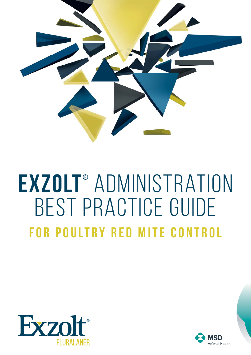

# **Exzolt ®** administration Best practice guide **For Poultry Red Mite Control**



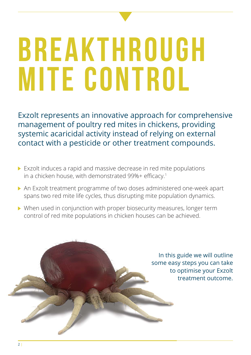# **Breakthrough MITE CONTROL**

Exzolt represents an innovative approach for comprehensive management of poultry red mites in chickens, providing systemic acaricidal activity instead of relying on external contact with a pesticide or other treatment compounds.

- Exzolt induces a rapid and massive decrease in red mite populations in a chicken house, with demonstrated 99%+ efficacy.<sup>1</sup>
- An Exzolt treatment programme of two doses administered one-week apart spans two red mite life cycles, thus disrupting mite population dynamics.
- When used in conjunction with proper biosecurity measures, longer term control of red mite populations in chicken houses can be achieved.

In this guide we will outline some easy steps you can take to optimise your Exzolt treatment outcome.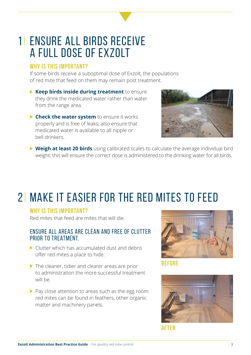### 1| ENSURE ALL BIRDS RECEIVE A FULL DOSE OF EXZOLT

#### **Why is this important?**

If some birds receive a suboptimal dose of Exzolt, the populations of red mite that feed on them may remain post treatment.

- **Keep birds inside during treatment** to ensure they drink the medicated water rather than water from the range area.
- **Check the water system** to ensure it works properly and is free of leaks; also ensure that medicated water is available to all nipple or bell drinkers.



 **Weigh at least 20 birds** using calibrated scales to calculate the average individual bird weight; this will ensure the correct dose is administered to the drinking water for all birds.

### 2| MAKE IT EASIER FOR THE RED MITES TO FEED

#### **Why is this important?**

Red mites that feed are mites that will die.

#### Ensure all areas are clean and free of clutter prior to treatment.

- Clutter which has accumulated dust and debris offer red mites a place to hide.
- $\triangleright$  The cleaner, tidier and clearer areas are prior to administration the more successful treatment will be.
- $\triangleright$  Pay close attention to areas such as the egg room: red mites can be found in feathers, other organic matter and machinery panels.



**Before**



**after**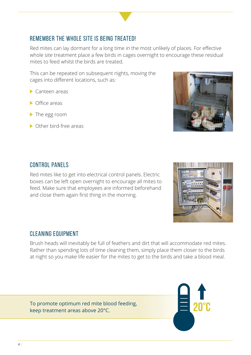### Remember the whole site is being treated!

Red mites can lay dormant for a long time in the most unlikely of places. For effective whole site treatment place a few birds in cages overnight to encourage these residual mites to feed whilst the birds are treated.

 This can be repeated on subsequent nights, moving the cages into different locations, such as:

- Canteen areas
- $\triangleright$  Office areas
- The egg room
- ▶ Other bird-free areas

### CONTROL PANELS

 Red mites like to get into electrical control panels. Electric boxes can be left open overnight to encourage all mites to feed. Make sure that employees are informed beforehand and close them again first thing in the morning.

### Cleaning equipment

 Brush heads will inevitably be full of feathers and dirt that will accommodate red mites. Rather than spending lots of time cleaning them, simply place them closer to the birds at night so you make life easier for the mites to get to the birds and take a blood meal.

To promote optimum red mite blood feeding, keep treatment areas above 20°C.





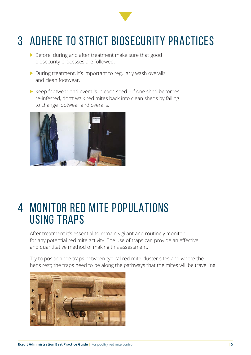### 3| ADHERE TO STRICT BIOSECURITY PRACTICES

- Before, during and after treatment make sure that good biosecurity processes are followed.
- $\triangleright$  During treatment, it's important to regularly wash overalls and clean footwear.
- $\triangleright$  Keep footwear and overalls in each shed if one shed becomes re-infested, don't walk red mites back into clean sheds by failing to change footwear and overalls.



### 4| MONITOR RED MITE POPULATIONS USING TRAPS

 After treatment it's essential to remain vigilant and routinely monitor for any potential red mite activity. The use of traps can provide an effective and quantitative method of making this assessment.

 Try to position the traps between typical red mite cluster sites and where the hens rest; the traps need to be along the pathways that the mites will be travelling.

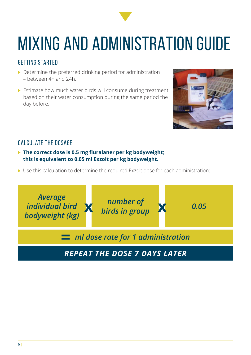## MIXING AND ADMINISTRATION GUIDE

### Getting started

- Determine the preferred drinking period for administration – between 4h and 24h.
- Estimate how much water birds will consume during treatment based on their water consumption during the same period the day before.



### Calculate the dosage

- ▶ The correct dose is 0.5 mg fluralaner per kg bodyweight; **this is equivalent to 0.05 ml Exzolt per kg bodyweight.**
- Use this calculation to determine the required Exzolt dose for each administration:

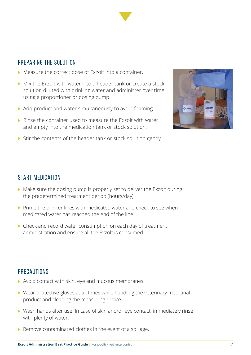#### PREPARING THE SOLUTION

- Measure the correct dose of Exzolt into a container.
- Mix the Exzolt with water into a header tank or create a stock solution diluted with drinking water and administer over time using a proportioner or dosing pump.
- Add product and water simultaneously to avoid foaming.
- ▶ Rinse the container used to measure the Exzolt with water and empty into the medication tank or stock solution.





#### Start medication

- Make sure the dosing pump is properly set to deliver the Exzolt during the predetermined treatment period (hours/day).
- $\triangleright$  Prime the drinker lines with medicated water and check to see when medicated water has reached the end of the line.
- Check and record water consumption on each day of treatment administration and ensure all the Exzolt is consumed.

#### **PRECAUTIONS**

- Avoid contact with skin, eye and mucous membranes.
- ▶ Wear protective gloves at all times while handling the veterinary medicinal product and cleaning the measuring device.
- Wash hands after use. In case of skin and/or eye contact, immediately rinse with plenty of water.
- $\blacktriangleright$  Remove contaminated clothes in the event of a spillage.